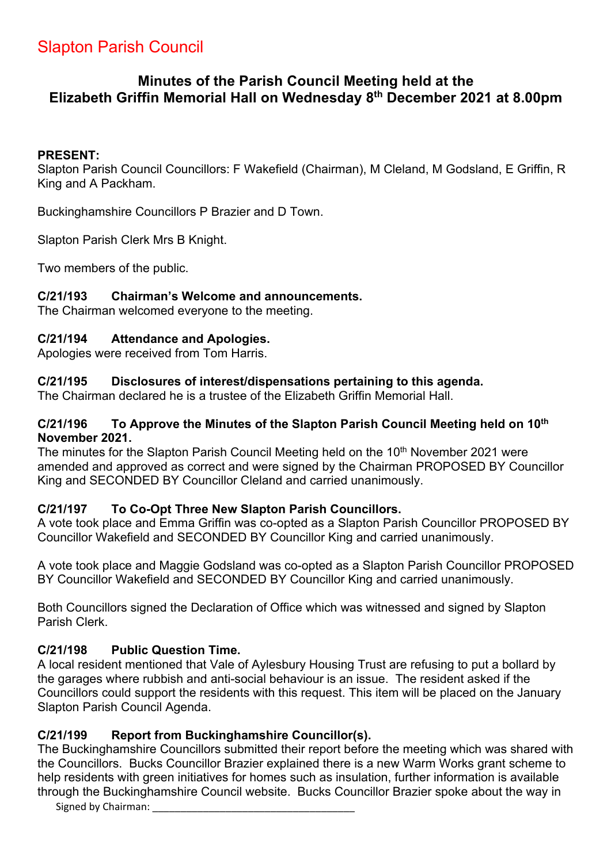# Slapton Parish Council

# **Minutes of the Parish Council Meeting held at the Elizabeth Griffin Memorial Hall on Wednesday 8th December 2021 at 8.00pm**

### **PRESENT:**

Slapton Parish Council Councillors: F Wakefield (Chairman), M Cleland, M Godsland, E Griffin, R King and A Packham.

Buckinghamshire Councillors P Brazier and D Town.

Slapton Parish Clerk Mrs B Knight.

Two members of the public.

### **C/21/193 Chairman's Welcome and announcements.**

The Chairman welcomed everyone to the meeting.

### **C/21/194 Attendance and Apologies.**

Apologies were received from Tom Harris.

### **C/21/195 Disclosures of interest/dispensations pertaining to this agenda.**

The Chairman declared he is a trustee of the Elizabeth Griffin Memorial Hall.

#### **C/21/196 To Approve the Minutes of the Slapton Parish Council Meeting held on 10th November 2021.**

The minutes for the Slapton Parish Council Meeting held on the 10<sup>th</sup> November 2021 were amended and approved as correct and were signed by the Chairman PROPOSED BY Councillor King and SECONDED BY Councillor Cleland and carried unanimously.

### **C/21/197 To Co-Opt Three New Slapton Parish Councillors.**

A vote took place and Emma Griffin was co-opted as a Slapton Parish Councillor PROPOSED BY Councillor Wakefield and SECONDED BY Councillor King and carried unanimously.

A vote took place and Maggie Godsland was co-opted as a Slapton Parish Councillor PROPOSED BY Councillor Wakefield and SECONDED BY Councillor King and carried unanimously.

Both Councillors signed the Declaration of Office which was witnessed and signed by Slapton Parish Clerk.

### **C/21/198 Public Question Time.**

A local resident mentioned that Vale of Aylesbury Housing Trust are refusing to put a bollard by the garages where rubbish and anti-social behaviour is an issue. The resident asked if the Councillors could support the residents with this request. This item will be placed on the January Slapton Parish Council Agenda.

### **C/21/199 Report from Buckinghamshire Councillor(s).**

The Buckinghamshire Councillors submitted their report before the meeting which was shared with the Councillors. Bucks Councillor Brazier explained there is a new Warm Works grant scheme to help residents with green initiatives for homes such as insulation, further information is available through the Buckinghamshire Council website. Bucks Councillor Brazier spoke about the way in

Signed by Chairman: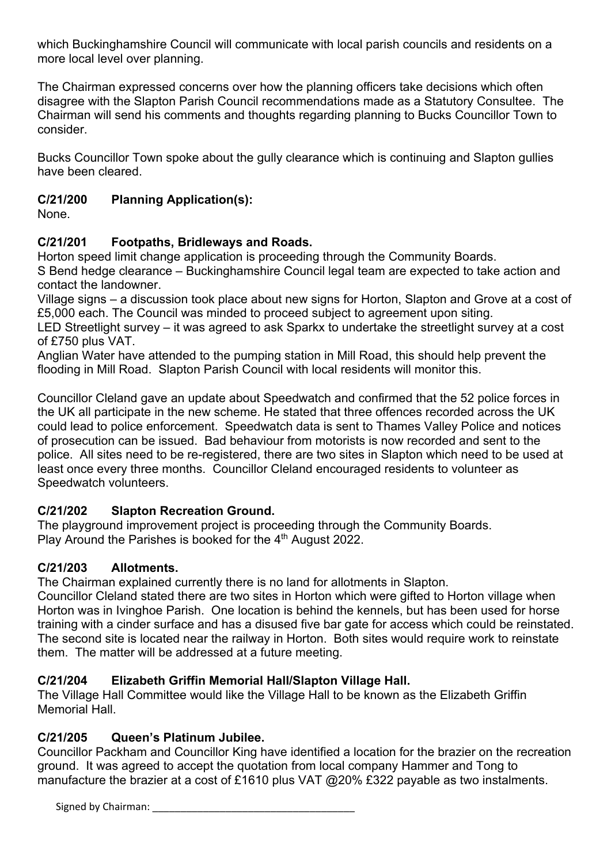which Buckinghamshire Council will communicate with local parish councils and residents on a more local level over planning.

The Chairman expressed concerns over how the planning officers take decisions which often disagree with the Slapton Parish Council recommendations made as a Statutory Consultee. The Chairman will send his comments and thoughts regarding planning to Bucks Councillor Town to consider.

Bucks Councillor Town spoke about the gully clearance which is continuing and Slapton gullies have been cleared.

## **C/21/200 Planning Application(s):**

None.

# **C/21/201 Footpaths, Bridleways and Roads.**

Horton speed limit change application is proceeding through the Community Boards.

S Bend hedge clearance – Buckinghamshire Council legal team are expected to take action and contact the landowner.

Village signs – a discussion took place about new signs for Horton, Slapton and Grove at a cost of £5,000 each. The Council was minded to proceed subject to agreement upon siting.

LED Streetlight survey – it was agreed to ask Sparkx to undertake the streetlight survey at a cost of £750 plus VAT.

Anglian Water have attended to the pumping station in Mill Road, this should help prevent the flooding in Mill Road. Slapton Parish Council with local residents will monitor this.

Councillor Cleland gave an update about Speedwatch and confirmed that the 52 police forces in the UK all participate in the new scheme. He stated that three offences recorded across the UK could lead to police enforcement. Speedwatch data is sent to Thames Valley Police and notices of prosecution can be issued. Bad behaviour from motorists is now recorded and sent to the police. All sites need to be re-registered, there are two sites in Slapton which need to be used at least once every three months. Councillor Cleland encouraged residents to volunteer as Speedwatch volunteers.

# **C/21/202 Slapton Recreation Ground.**

The playground improvement project is proceeding through the Community Boards. Play Around the Parishes is booked for the 4<sup>th</sup> August 2022.

### **C/21/203 Allotments.**

The Chairman explained currently there is no land for allotments in Slapton.

Councillor Cleland stated there are two sites in Horton which were gifted to Horton village when Horton was in Ivinghoe Parish. One location is behind the kennels, but has been used for horse training with a cinder surface and has a disused five bar gate for access which could be reinstated. The second site is located near the railway in Horton. Both sites would require work to reinstate them. The matter will be addressed at a future meeting.

### **C/21/204 Elizabeth Griffin Memorial Hall/Slapton Village Hall.**

The Village Hall Committee would like the Village Hall to be known as the Elizabeth Griffin Memorial Hall.

### **C/21/205 Queen's Platinum Jubilee.**

Councillor Packham and Councillor King have identified a location for the brazier on the recreation ground. It was agreed to accept the quotation from local company Hammer and Tong to manufacture the brazier at a cost of £1610 plus VAT @20% £322 payable as two instalments.

Signed by Chairman: